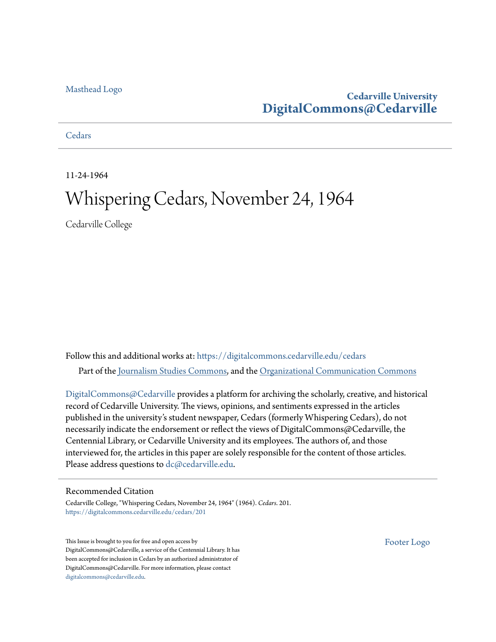#### [Masthead Logo](http://www.cedarville.edu/?utm_source=digitalcommons.cedarville.edu%2Fcedars%2F201&utm_medium=PDF&utm_campaign=PDFCoverPages)

# **Cedarville University [DigitalCommons@Cedarville](https://digitalcommons.cedarville.edu?utm_source=digitalcommons.cedarville.edu%2Fcedars%2F201&utm_medium=PDF&utm_campaign=PDFCoverPages)**

#### **[Cedars](https://digitalcommons.cedarville.edu/cedars?utm_source=digitalcommons.cedarville.edu%2Fcedars%2F201&utm_medium=PDF&utm_campaign=PDFCoverPages)**

11-24-1964

# Whispering Cedars, November 24, 1964

Cedarville College

Follow this and additional works at: [https://digitalcommons.cedarville.edu/cedars](https://digitalcommons.cedarville.edu/cedars?utm_source=digitalcommons.cedarville.edu%2Fcedars%2F201&utm_medium=PDF&utm_campaign=PDFCoverPages) Part of the [Journalism Studies Commons](http://network.bepress.com/hgg/discipline/333?utm_source=digitalcommons.cedarville.edu%2Fcedars%2F201&utm_medium=PDF&utm_campaign=PDFCoverPages), and the [Organizational Communication Commons](http://network.bepress.com/hgg/discipline/335?utm_source=digitalcommons.cedarville.edu%2Fcedars%2F201&utm_medium=PDF&utm_campaign=PDFCoverPages)

[DigitalCommons@Cedarville](http://digitalcommons.cedarville.edu/) provides a platform for archiving the scholarly, creative, and historical record of Cedarville University. The views, opinions, and sentiments expressed in the articles published in the university's student newspaper, Cedars (formerly Whispering Cedars), do not necessarily indicate the endorsement or reflect the views of DigitalCommons@Cedarville, the Centennial Library, or Cedarville University and its employees. The authors of, and those interviewed for, the articles in this paper are solely responsible for the content of those articles. Please address questions to [dc@cedarville.edu.](mailto:dc@cedarville.edu)

#### Recommended Citation

Cedarville College, "Whispering Cedars, November 24, 1964" (1964). *Cedars*. 201. [https://digitalcommons.cedarville.edu/cedars/201](https://digitalcommons.cedarville.edu/cedars/201?utm_source=digitalcommons.cedarville.edu%2Fcedars%2F201&utm_medium=PDF&utm_campaign=PDFCoverPages)

This Issue is brought to you for free and open access by DigitalCommons@Cedarville, a service of the Centennial Library. It has been accepted for inclusion in Cedars by an authorized administrator of DigitalCommons@Cedarville. For more information, please contact [digitalcommons@cedarville.edu](mailto:digitalcommons@cedarville.edu).

[Footer Logo](http://www.cedarville.edu/Academics/Library.aspx?utm_source=digitalcommons.cedarville.edu%2Fcedars%2F201&utm_medium=PDF&utm_campaign=PDFCoverPages)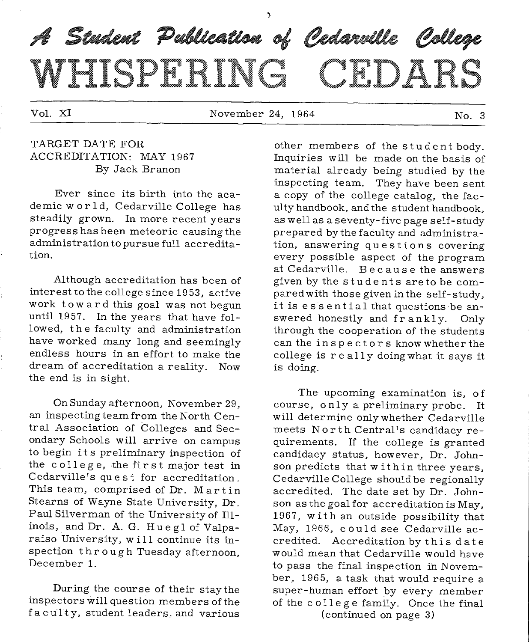# A Student Publication of Cedarville College WHISPERING CEDARS

Vol. XI and November 24, 1964 No. 3

#### TARGET DATE FOR ACCREDITATION: MAY 1967 By Jack Branon

Ever since its birth into the academic w or 1d, Cedarville College has steadily grown. In more recent years progress has been meteoric causing the administration to pursue full accreditation.

Although accreditation has been of interest to the college since 19 53, active work toward this goal was not begun until 1957. In the years that have followed, the faculty and administration have worked many long and seemingly endless hours in an effort to make the dream of accreditation a reality. Now the end is in sight.

On Sunday afternoon, November 29, an inspecting team from the North Central Association of Colleges and Secondary Schools will arrive on campus to begin its preliminary inspection of the college, the first major test in Cedarville 's quest for accreditation. This team, comprised of Dr. Martin Stearns of Wayne State University, Dr. Paul Silverman of the University of Illinois, and Dr. A.G. Huegl of Valparaiso University, w i 11 continue its inspection through Tuesday afternoon, December 1.

During the course of their staythe inspectors will question members of the faculty, student leaders, and various

other members of the student body. Inquiries will be made on the basis of material already being studied by the inspecting team. They have been sent a copy of the college catalog, the faculty handbook, and the student handbook, as well as a seventy-five page self-study prepared by the faculty and administration, answering questions covering every possible aspect of the program at Cedarville. Because the answers given by the students areto be compared with those given in the self-study, it is essential that questions be answered honestly and frankly. Only through the cooperation of the students can the inspectors know whether the college is re ally doing what it says it is doing.

The upcoming examination is, of course, only <sup>a</sup>preliminary probe. It will determine onlywhether Cedarville meets North Central's candidacy requirements. If the college is granted candidacy status, however, Dr. Johnson predicts that within three years, Cedarville College should be regionally accredited. The date set by Dr. Johnson as the goal for accreditation is May, 1967, with an outside possibility that May, 1966, could see Cedarville accredited. Accreditation by this date would mean that Cedarville would have to pass the final inspection ih November, 1965, a task that would require a super-human effort by every member of the college family. Once the final

(continued on page 3)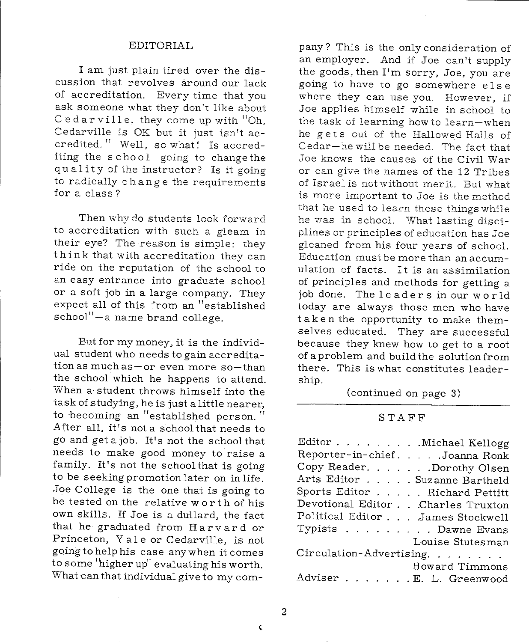#### EDITORIAL

I am just plain tired over the discussion that revolves around our lack of accreditation. Every time that you ask someone what they don't like about Cedar ville, they come up with "Oh, Cedarville is OK but it just isn't accredited." Well, so what! Is accrediting the school going to change the quality of the instructor? Is it going to radically ch an g e the requirements for a class?

Then why do students look forward to accreditation with such <sup>a</sup>gleam in their eye? The reason is simple: they think that with accreditation they can ride on the reputation of the school to an easy entrance into graduate school or a soft job in a large company. They expect all of this from an "established school"-a name brand college.

But for my money, it is the individual student who needs to gain accreditation as much as  $-$  or even more so-than the school which he happens to attend. When a· student throws himself into the task of studying, he is just a little nearer, to becoming an "established person." After all, it's not a school that needs to go and get a job. It's not the school that needs to make good money to raise <sup>a</sup> family. It's not the school that is going to be seeking promotion later on in life. Joe College is the one that is going to be tested on the relative worth of his own skills. If Joe is a dullard, the fact that he graduated from Harvard or Princeton, Yale or Cedarville, is not going to help his case anywhen it comes to some 'higher up'' evaluating his worth. What can that individual give to my com-

pany? This is the only consideration of an employer. And if Joe can't supply the goods, then I'm sorry, Joe, you are going to have to go somewhere else where they can use you. However, if Joe applies himself while in school to the task of learning how to learn-when he gets out of the Hallowed Halls of Cedar-he will be needed. The fact that Joe knows the causes of the Civil War or can give the names of the 12 Tribes of Israel is not without merit. But what is more important to Joe is the method that he used to learn these things while he was in school. What lasting disciplines or principles of education has Joe <sup>g</sup>leaned from his four years of school. Education must be more than an accumulation of facts. It is an assimilation of principles and methods for getting <sup>a</sup> job done. The leaders in our world today are always those men who have taken the opportunity to make themselves educated. They are successful because they knew how to get to a root of a problem and build the solution from there. This is what constitutes leadership.

(continued on page 3)

#### STAFF

| Editor Michael Kellogg            |
|-----------------------------------|
| Reporter-in-chief. Joanna Ronk    |
| Copy Reader. Dorothy Olsen        |
| Arts Editor Suzanne Bartheld      |
| Sports Editor Richard Pettitt     |
| Devotional Editor Charles Truxton |
| Political Editor James Stockwell  |
| Typists Dawne Evans               |
| Louise Stutesman                  |
| Circulation-Advertising.          |
| Howard Timmons                    |
| Adviser E. L. Greenwood           |

2

 $\ddot{\bm{\zeta}}$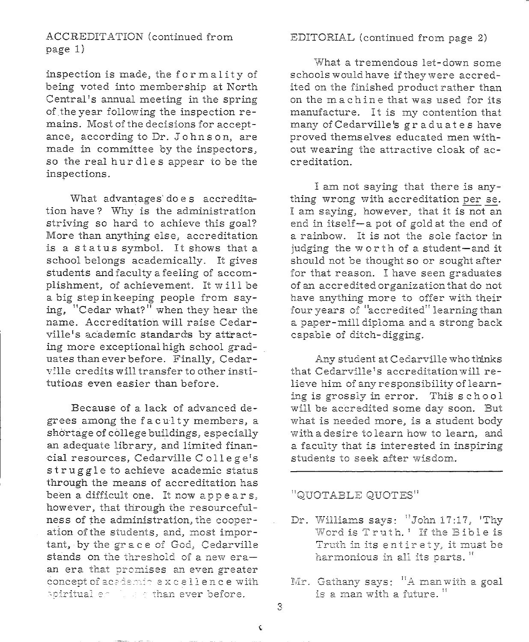#### ACCREDITATION (continued from page 1)

inspection is made, the form ality of being voted into membership at North Central's annual meeting in the spring of the year following the inspection remains. Most of the decisions for acceptance, according to Dr. John <sup>s</sup>on, are made in committee by the inspectors, so the real hurdles appear to be the inspections.

What advantages' doe s accreditation have? Why is the administration striving so hard to achieve this goal? More than anything else, accreditation is a status symbol. It shows that <sup>a</sup> school belongs academically. It gives students and faculty a feeling of accomplishment, of achievement. It will be a big step in keeping people from saying, "Cedar what?" when they hear the name. Accreditation will raise Cedarville's academic standards by attracting more exceptional high school graduates than ever before. Finally, Cedarville credits will transfer to other institutions even easier than before.

Because of a lack of advanced degrees among the faculty members, <sup>a</sup> shortage of college buildings, especially an adequate library, and limited financial resources, Cedarville College's st ruggle to achieve academic status through the means of accreditation has been a difficult one. It now appears, however, that through the resourcefulness of the administration, the cooperation ofthe students, and, most important, by the grace of God, Cedarville stands on the threshold of a new era- $\mathbf{a}$  **an era** that promises an even greater  $\frac{1}{2}$  **concept of academic excellence with xpiritual erable rather ever before.** 

#### EDITORIAL (continued from page 2)

What a tremendous let-down some schools would have if they were accredited on the finished product rather than on the machine that was used for its manufacture. It is my contention that many ofCedarville's graduates have proved themselves educated men without wearing the attractive cloak of accreditation.

I am not saying that there is anything wrong with accreditation per se. I am saying, however, that it is not an end in itself-a pot of gold at the end of <sup>a</sup>rainbow. It is not the sole factor in judging the worth of a student-and it should not be thought so or sought after for that reason. I have seen graduates of an accredited organization that do not have anything more to offer with their four years of "accredited" learning than <sup>a</sup>paper-mill diploma and a strong back capable of ditch-digging.

Any student at Cedarville who thinks that Cedarville's accreditation will relieve him of any responsibility of learning is grossly in error. This school will be accredited some day soon. But what is needed more, is a student body with a desire to learn how to learn, and a faculty that is interested in inspiring students to seek after wisdom.

### $"QUOTABLE QUOTES"$

- Dr. Williams says: "John 17:17, 'Thy **\AT o~d is T r i!J th. 1 If the B i b 1 e is**   $T$ ruth in its entirety, it must be **fia.r~nonious in all i.ts parts.** <sup>11</sup>
- $Mr.$  Gathany says: <sup>11</sup>A man with a goal **is a man -vvith a i1J.tu.re.** *<sup>11</sup>*

3

 $\hat{\mathbf{v}}$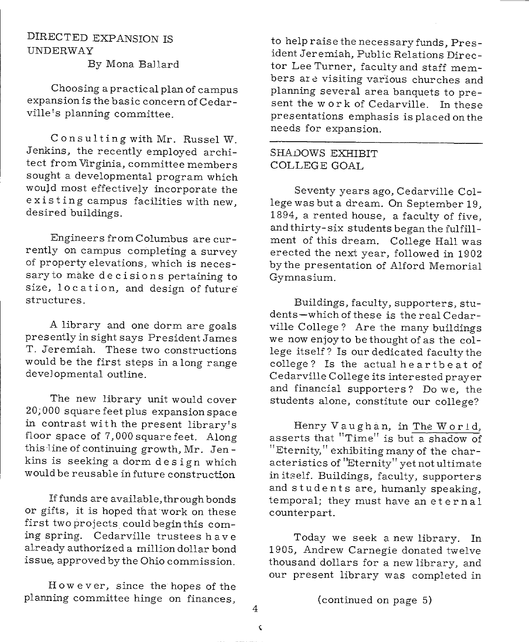#### DIRECTED EXPANSION IS UNDERWAY By Mona Bal lard

Choosing a practical plan of campus expansion is the basic concern of Cedarville's planning committee.

Consulting with Mr. Russel W. Jenkins, the recently employed architect from Virginia, committee members sought a developmental program which would most effectively incorporate the existing campus facilities with new, desired buildings.

Engineers from Columbus are currently on campus completing a survey of property elevations, which is necessary to make decisions pertaining to size, location, and design of future structures.

<sup>A</sup>library and one dorm are goals presently in sight says President James T. Jeremiah. These two constructions would be the first steps in a long range developmental outline.

The new library unit would cover 20;000 square feet plus expansion space in contrast with the present library's floor space of  $7,000$  square feet. Along this line of continuing growth, Mr. Jen kins is seeking a dorm design which would be reusable in future construction

If funds are available, through bonds or gifts, it is hoped that work on these first two projects could begin this coming spring. Cedarville trustees have already authorized a million dollar bond issue, approved by the Ohio commission.

However, since the hopes of the <sup>p</sup>lanning committee hinge on finances,

to help raise the necessary funds, President Jeremiah, Public Relations Director Lee Turner, faculty and staff members are visiting various churches and planning several area banquets to present the work of Cedarville. In these presentations emphasis is placed on the needs for expansion.

#### SHADOWS EXHIBIT COLLEGE GOAL

Seventy years ago, Cedarville College was but a dream. On September 19, 1894, a rented house, a faculty of five, and thirty-six students began the fulfillment of this dream. College Hall was erected the next year, followed in 1902 bythe presentation of Alford Memorial Gymnasium.

Buildings, faculty, supporters, students-which of these is the real Cedarville College? Are the many buildings we nowenjoyto bethought of as the college itself? Is our dedicated faculty the college? Is the actual heartbeat of Cedarville College its interested prayer and financial supporters? Do we, the students alone, constitute our college?

Henry Vaughan, in The W or l d, asserts that "Time" is but a shadow of "Eternity," exhibiting many of the characteristics of "Eternity" yet not ultimate in itself. Buildings, faculty, supporters and students are, humanly speaking, temporal; they must have an et er n a 1 counterpart.

Today we seek <sup>a</sup>new library. In 1905, Andrew Carnegie donated twelve thousand dollars for a new library, and our present library was completed in

(continued on page 5)

4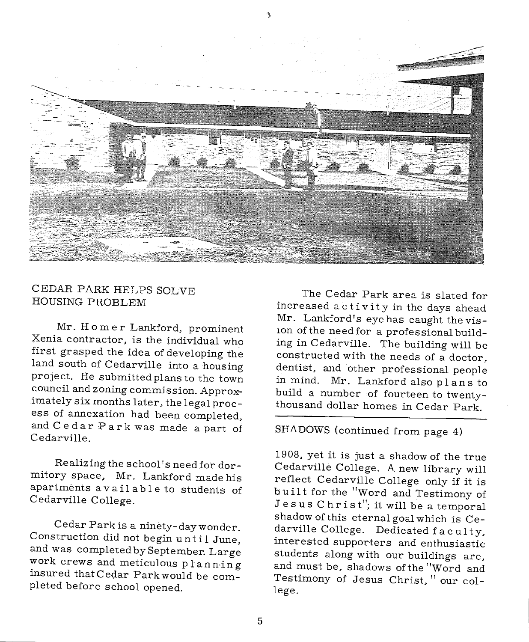

#### CEDAR PARK HELPS SOLVE HOUSING PROBLEM

Mr. Homer Lankford, prominent Xenia contractor, is the individual who first grasped the idea of developing the land south of Cedarville into a housing<br>project. He submitted plans to the town<br>council and zoning commission. Approximately six months later, the legal process of annexation had been completed, and Cedar Park was made a part of Cedarville.

Realizing the school's need for dormitory space, Mr. Lankford made his apartments available to students of Cedarville College.

Cedar Park is a ninety-day wonder. Construction did not begin until June, and was completed by September. Large<br>work crews and meticulous planning insured that Cedar Park would be com<sup>p</sup>leted before school opened.

The Cedar Park area is slated for increased activity in the days ahead Mr. Lankford's eye has caught the vis-10n of the need for a professional building in Cedarville. The building will be constructed with the needs of a doctor,<br>dentist, and other professional people in mind. Mr. Lankford also plans to build a number of fourteen to twenty-<br>thousand dollar homes in Cedar Park.

# SHA DOWS (continued from page 4)

1908, yet it is just a shadow of the true Cedarville College. A new library will reflect Cedarville College only if it is built for the "Word and Testimony of Jesus Christ"; it will be a temporal shadow of this eternal goal which is Ce-<br>darville College. Dedicated faculty, interested supporters and enthusiastic students along with our buildings are, and must be, shadows ofthe "Word and Testimony of Jesus Christ, " our college.